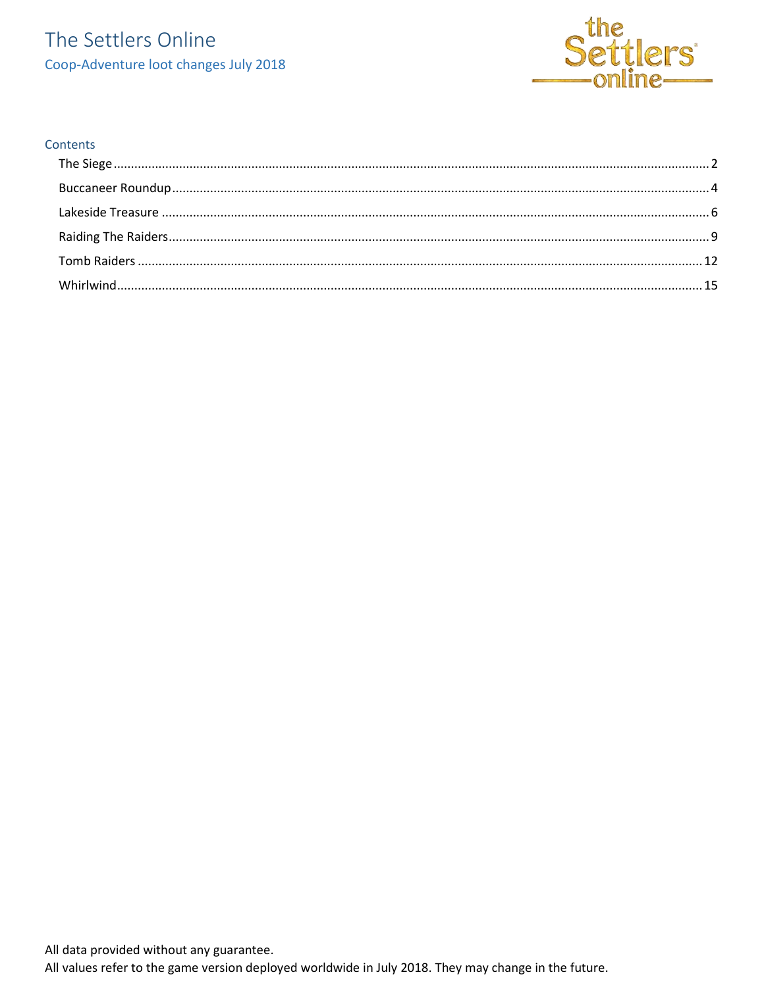### The Settlers Online Coop-Adventure loot changes July 2018



#### Contents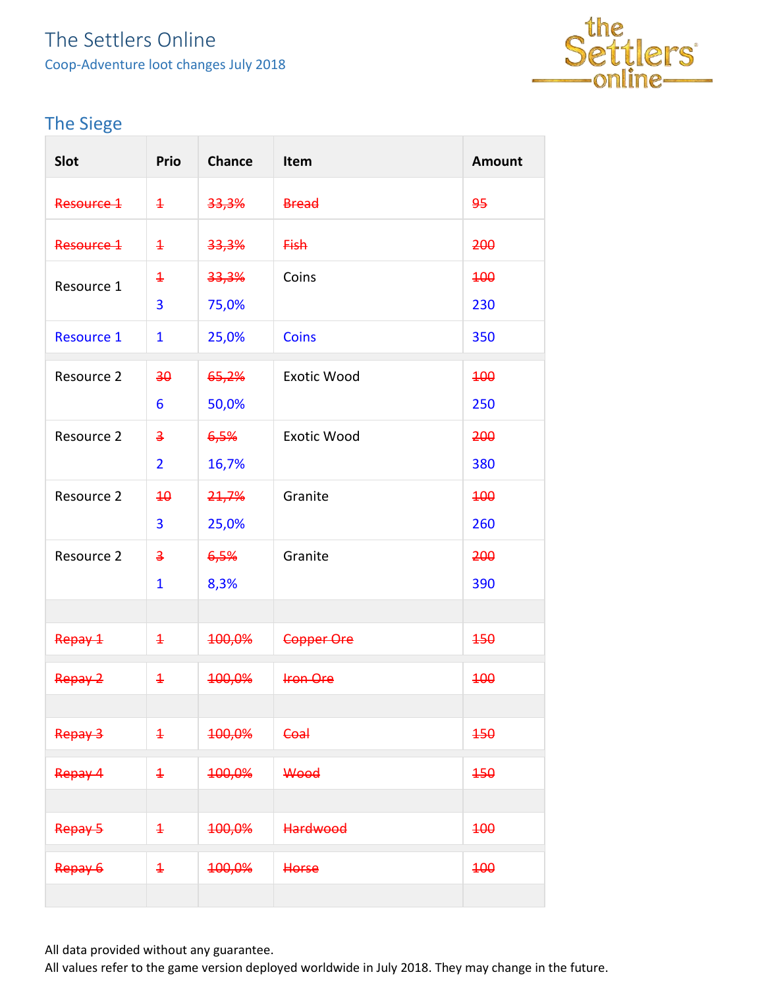### The Settlers Online Coop-Adventure loot changes July 2018



### <span id="page-1-0"></span>The Siege

| <b>Slot</b>       | <b>Prio</b>             | <b>Chance</b> | Item               | <b>Amount</b> |
|-------------------|-------------------------|---------------|--------------------|---------------|
| Resource 1        | $\overline{1}$          | 33,3%         | <b>Bread</b>       | 95            |
| Resource 1        | $\overline{1}$          | 33,3%         | <b>Fish</b>        | 200           |
| Resource 1        | $\overline{1}$          | 33,3%         | Coins              | <b>100</b>    |
|                   | 3                       | 75,0%         |                    | 230           |
| <b>Resource 1</b> | 1                       | 25,0%         | <b>Coins</b>       | 350           |
| Resource 2        | 30                      | 65,2%         | <b>Exotic Wood</b> | 400           |
|                   | 6                       | 50,0%         |                    | 250           |
| Resource 2        | $\overline{\mathbf{3}}$ | 6,5%          | <b>Exotic Wood</b> | 200           |
|                   | $\overline{2}$          | 16,7%         |                    | 380           |
| Resource 2        | $\overline{40}$         | 21,7%         | Granite            | <b>100</b>    |
|                   | 3                       | 25,0%         |                    | 260           |
| Resource 2        | $\overline{3}$          | 6,5%          | Granite            | 200           |
|                   | 1                       | 8,3%          |                    | 390           |
|                   |                         |               |                    |               |
| Repay 1           | $\overline{1}$          | 100,0%        | Copper Ore         | 450           |
| Repay 2           | $\overline{1}$          | 100,0%        | <b>Iron Ore</b>    | <b>100</b>    |
|                   |                         |               |                    |               |
| Repay 3           | $\ddagger$              | 100,0%        | Coal               | 450           |
| Repay 4           | $\overline{1}$          | 100,0%        | Wood               | 150           |
|                   |                         |               |                    |               |
| Repay 5           | $\ddagger$              | 100,0%        | <b>Hardwood</b>    | 400           |
| Repay 6           | $\overline{1}$          | 100,0%        | Horse              | 400           |
|                   |                         |               |                    |               |

All data provided without any guarantee.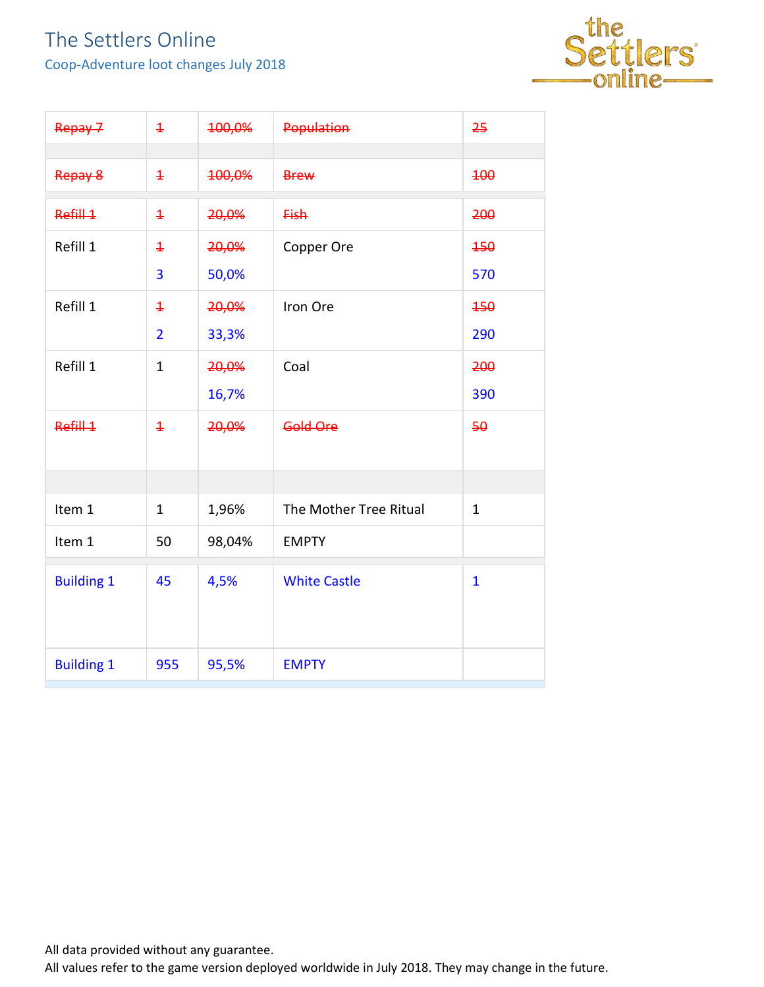Coop-Adventure loot changes July 2018



| Repay 7           | $\overline{1}$                   | 100,0%         | Population             | 25           |
|-------------------|----------------------------------|----------------|------------------------|--------------|
| Repay 8           | $\overline{1}$                   | 100,0%         | <b>Brew</b>            | 400          |
| Refill 1          | $\overline{1}$                   | 20,0%          | <b>Fish</b>            | 200          |
| Refill 1          | $\ddagger$<br>3                  | 20,0%<br>50,0% | Copper Ore             | 450<br>570   |
| Refill 1          | $\overline{1}$<br>$\overline{2}$ | 20,0%<br>33,3% | Iron Ore               | 450<br>290   |
| Refill 1          | $\mathbf{1}$                     | 20,0%<br>16,7% | Coal                   | 200<br>390   |
| Refill 1          | $\overline{1}$                   | 20,0%          | Gold Ore               | 50           |
|                   |                                  |                |                        |              |
| Item 1            | $\mathbf{1}$                     | 1,96%          | The Mother Tree Ritual | $\mathbf{1}$ |
| Item 1            | 50                               | 98,04%         | <b>EMPTY</b>           |              |
| <b>Building 1</b> | 45                               | 4,5%           | <b>White Castle</b>    | $\mathbf{1}$ |
| <b>Building 1</b> | 955                              | 95,5%          | <b>EMPTY</b>           |              |

All data provided without any guarantee.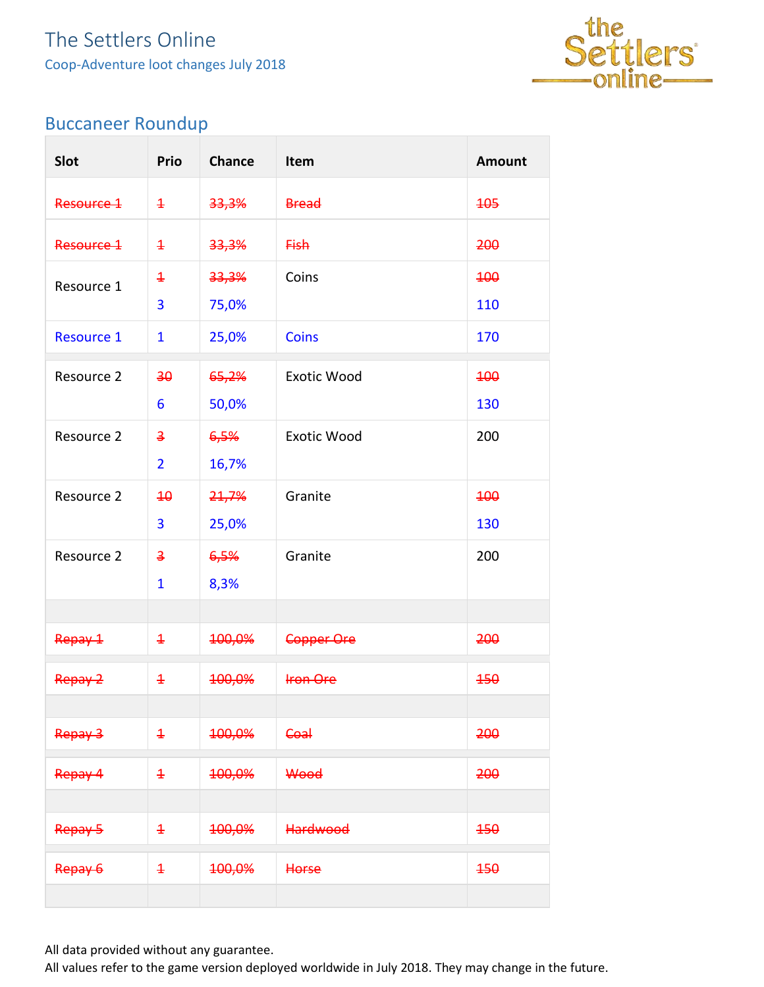

### <span id="page-3-0"></span>Buccaneer Roundup

| Slot              | Prio                    | <b>Chance</b> | Item               | <b>Amount</b> |
|-------------------|-------------------------|---------------|--------------------|---------------|
| Resource 1        | $\overline{1}$          | 33,3%         | <b>Bread</b>       | 405           |
| Resource 1        | $\overline{1}$          | 33,3%         | <b>Fish</b>        | 200           |
| Resource 1        | $\overline{1}$          | 33,3%         | Coins              | <b>100</b>    |
|                   | 3                       | 75,0%         |                    | 110           |
| <b>Resource 1</b> | $\mathbf{1}$            | 25,0%         | <b>Coins</b>       | 170           |
| Resource 2        | 30                      | 65,2%         | <b>Exotic Wood</b> | 400           |
|                   | 6                       | 50,0%         |                    | 130           |
| Resource 2        | $\overline{\mathbf{3}}$ | 6,5%          | <b>Exotic Wood</b> | 200           |
|                   | $\overline{2}$          | 16,7%         |                    |               |
| Resource 2        | $\overline{40}$         | 21,7%         | Granite            | <b>100</b>    |
|                   | 3                       | 25,0%         |                    | 130           |
| Resource 2        | $\overline{\mathbf{3}}$ | 6,5%          | Granite            | 200           |
|                   | $\mathbf{1}$            | 8,3%          |                    |               |
|                   |                         |               |                    |               |
| Repay 1           | $\overline{1}$          | 100,0%        | Copper Ore         | 200           |
| Repay 2           | $\overline{1}$          | 100,0%        | <b>Iron Ore</b>    | 450           |
|                   |                         |               |                    |               |
| Repay 3           | $\ddagger$              | 100,0%        | <b>Coal</b>        | 200           |
| Repay 4           | $\overline{1}$          | 100,0%        | Wood               | 200           |
|                   |                         |               |                    |               |
| Repay 5           | $\overline{1}$          | 100,0%        | <b>Hardwood</b>    | 450           |
| Repay 6           | $\overline{1}$          | 100,0%        | Horse              | 450           |
|                   |                         |               |                    |               |

All data provided without any guarantee.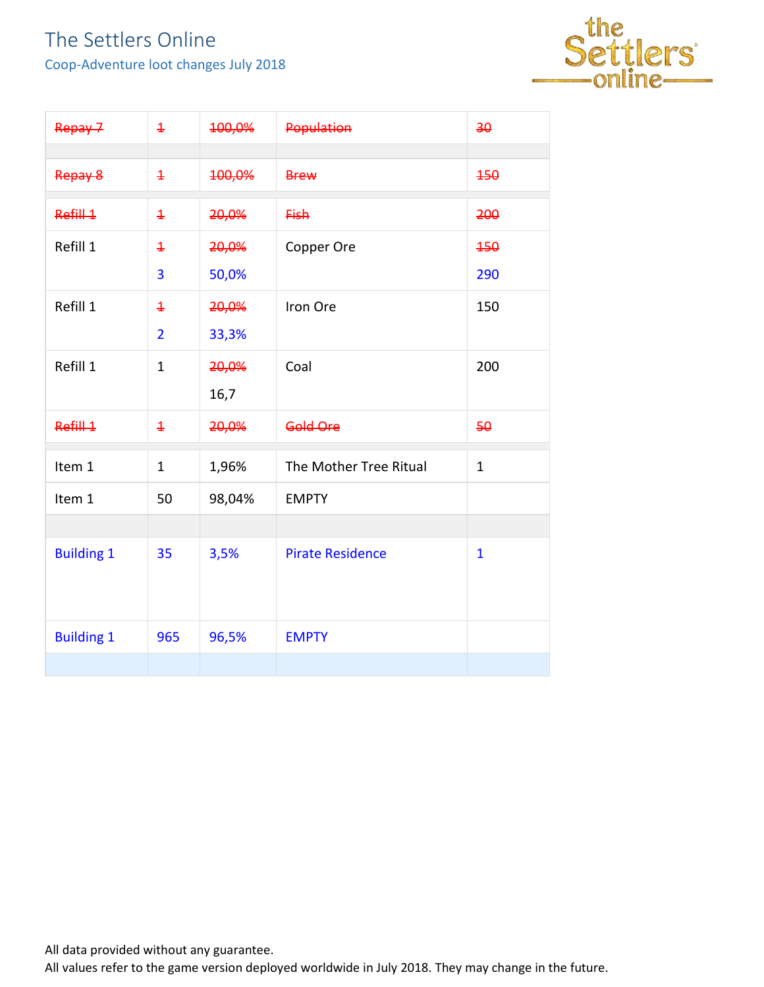Coop-Adventure loot changes July 2018



| Repay 7           | $\overline{1}$ | 100,0% | Population              | 30           |
|-------------------|----------------|--------|-------------------------|--------------|
| Repay 8           | $\overline{1}$ | 100,0% | <b>Brew</b>             | 450          |
| Refill 1          | $\overline{1}$ | 20,0%  | <b>Fish</b>             | 200          |
| Refill 1          | $\overline{1}$ | 20,0%  | Copper Ore              | 450          |
|                   | 3              | 50,0%  |                         | 290          |
| Refill 1          | $\overline{1}$ | 20,0%  | Iron Ore                | 150          |
|                   | $\overline{2}$ | 33,3%  |                         |              |
| Refill 1          | $\mathbf{1}$   | 20,0%  | Coal                    | 200          |
|                   |                | 16,7   |                         |              |
| Refill 1          | $\overline{1}$ | 20,0%  | Gold Ore                | 50           |
| Item 1            | $\mathbf{1}$   | 1,96%  | The Mother Tree Ritual  | $\mathbf{1}$ |
| Item 1            | 50             | 98,04% | <b>EMPTY</b>            |              |
|                   |                |        |                         |              |
| <b>Building 1</b> | 35             | 3,5%   | <b>Pirate Residence</b> | $\mathbf{1}$ |
| <b>Building 1</b> | 965            | 96,5%  | <b>EMPTY</b>            |              |
|                   |                |        |                         |              |

All data provided without any guarantee.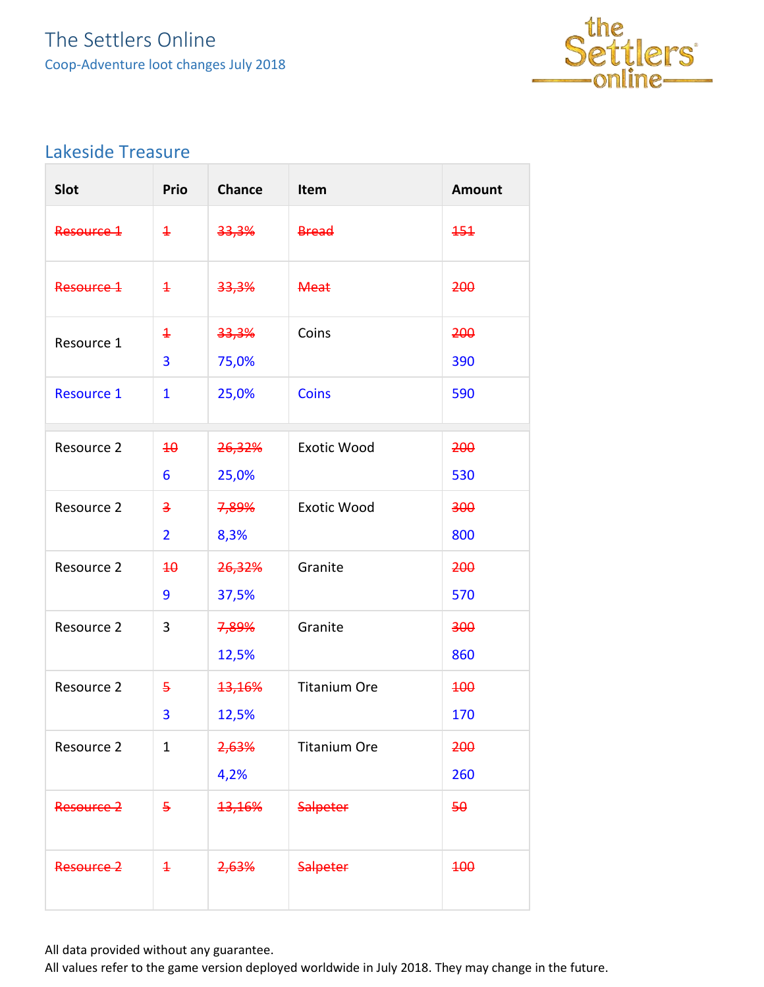

#### <span id="page-5-0"></span>Lakeside Treasure

| Slot              | <b>Prio</b>                      | <b>Chance</b>   | Item                | <b>Amount</b> |
|-------------------|----------------------------------|-----------------|---------------------|---------------|
| Resource 1        | $\ddagger$                       | 33,3%           | <b>Bread</b>        | 151           |
| Resource 1        | $\overline{1}$                   | 33,3%           | <b>Meat</b>         | 200           |
| Resource 1        | $\ddagger$<br>3                  | 33,3%<br>75,0%  | Coins               | 200<br>390    |
| <b>Resource 1</b> | $\mathbf{1}$                     | 25,0%           | <b>Coins</b>        | 590           |
| Resource 2        | 40<br>6                          | 26,32%<br>25,0% | <b>Exotic Wood</b>  | 200<br>530    |
| Resource 2        | $\overline{3}$<br>$\overline{2}$ | 7,89%<br>8,3%   | <b>Exotic Wood</b>  | 300<br>800    |
| Resource 2        | $\overline{40}$<br>9             | 26,32%<br>37,5% | Granite             | 200<br>570    |
| Resource 2        | 3                                | 7,89%<br>12,5%  | Granite             | 300<br>860    |
| Resource 2        | $\overline{5}$<br>3              | 13,16%<br>12,5% | <b>Titanium Ore</b> | 400<br>170    |
| Resource 2        | $\mathbf{1}$                     | 2,63%<br>4,2%   | <b>Titanium Ore</b> | 200<br>260    |
| Resource 2        | 5                                | 13,16%          | <b>Salpeter</b>     | 50            |
| Resource 2        | $\ddagger$                       | 2,63%           | <b>Salpeter</b>     | <b>100</b>    |

All data provided without any guarantee.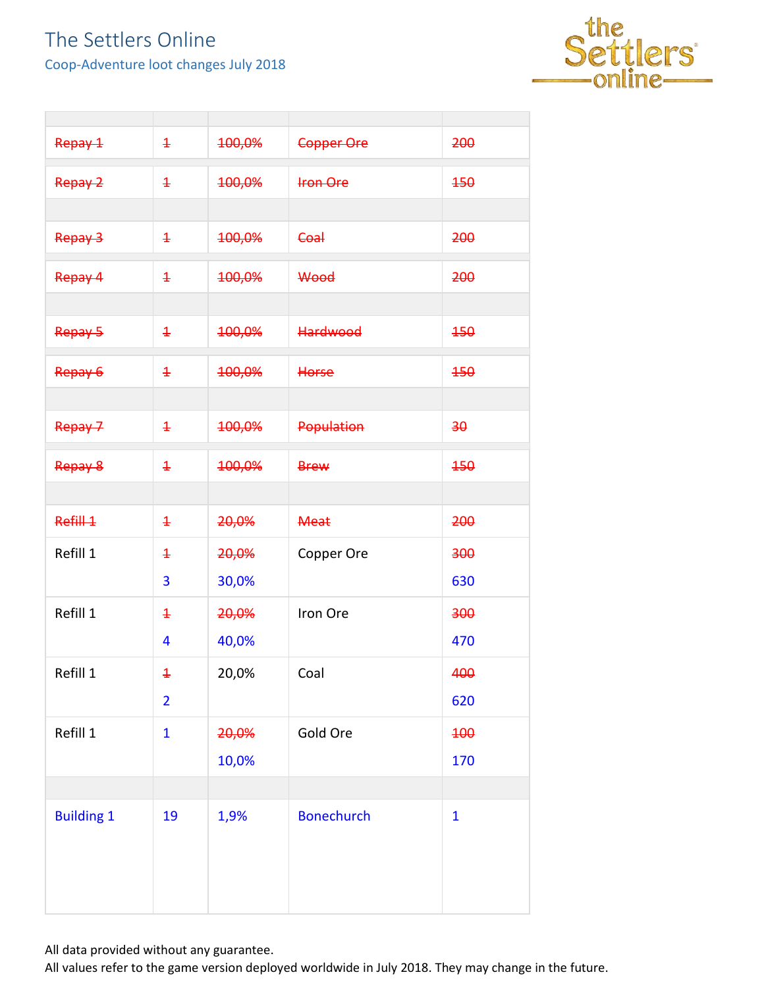Coop-Adventure loot changes July 2018



| Repay 1           | $\ddagger$     | 100,0% | <b>Copper Ore</b> | 200          |
|-------------------|----------------|--------|-------------------|--------------|
| Repay 2           | $\ddagger$     | 100,0% | <b>Iron Ore</b>   | 450          |
|                   |                |        |                   |              |
| Repay 3           | $\ddagger$     | 100,0% | Coal              | 200          |
| Repay 4           | $\ddagger$     | 100,0% | Wood              | 200          |
|                   |                |        |                   |              |
| Repay 5           | $\ddagger$     | 100,0% | <b>Hardwood</b>   | 450          |
| Repay 6           | $\ddagger$     | 100,0% | Horse             | 450          |
|                   |                |        |                   |              |
| Repay 7           | $\ddagger$     | 100,0% | <b>Population</b> | 30           |
| Repay 8           | $\ddagger$     | 100,0% | <b>Brew</b>       | 450          |
|                   |                |        |                   |              |
| Refill 1          | $\ddagger$     | 20,0%  | <b>Meat</b>       | 200          |
|                   |                |        |                   |              |
| Refill 1          | $\ddagger$     | 20,0%  | Copper Ore        | 300          |
|                   | 3              | 30,0%  |                   | 630          |
| Refill 1          | $\ddagger$     | 20,0%  | Iron Ore          | 300          |
|                   | 4              | 40,0%  |                   | 470          |
| Refill 1          | $\ddagger$     | 20,0%  | Coal              | 400          |
|                   | $\overline{2}$ |        |                   | 620          |
| Refill 1          | $\mathbf{1}$   | 20,0%  | Gold Ore          | 400          |
|                   |                | 10,0%  |                   | 170          |
|                   |                |        |                   |              |
| <b>Building 1</b> | 19             | 1,9%   | <b>Bonechurch</b> | $\mathbf{1}$ |

All data provided without any guarantee.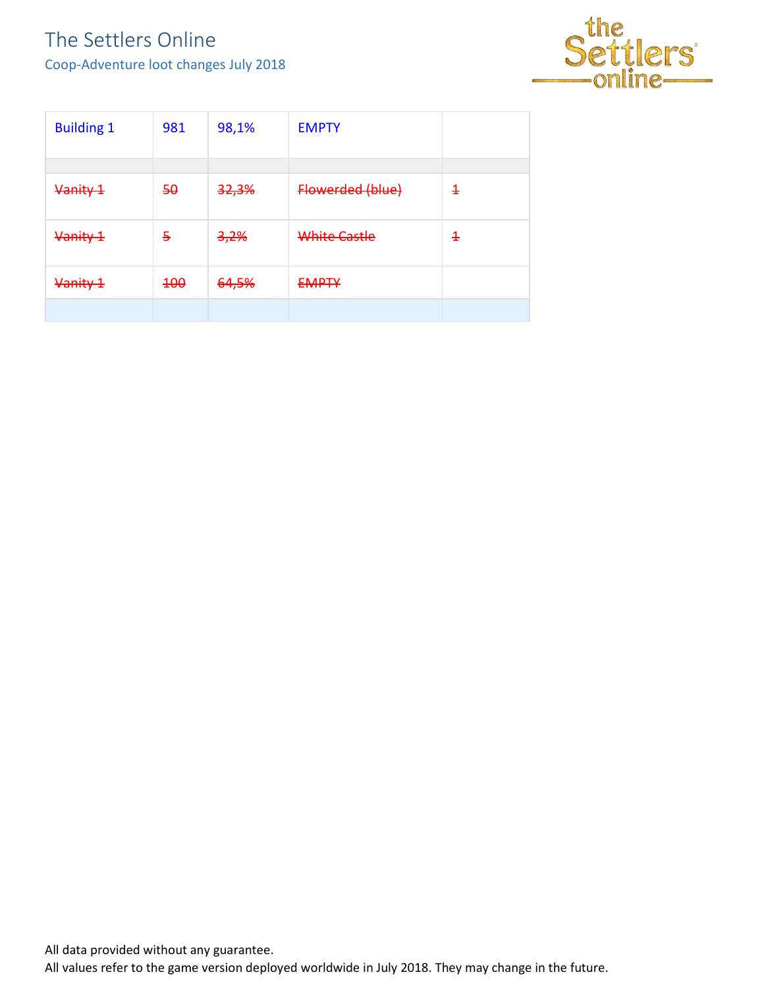Coop-Adventure loot changes July 2018



| <b>Building 1</b> | 981 | 98,1%            | <b>EMPTY</b>            |                               |
|-------------------|-----|------------------|-------------------------|-------------------------------|
|                   |     |                  |                         |                               |
| Vanity 1          | 50  | <del>32,3%</del> | <b>Flowerded (blue)</b> | $\textcolor{red}{\textbf{1}}$ |
| Vanity 1          | 5   | <del>3,2%</del>  | White Castle            | 4                             |
| Vanity 1          | 100 | 64,5%            | <b>FAADTV</b><br>————   |                               |
|                   |     |                  |                         |                               |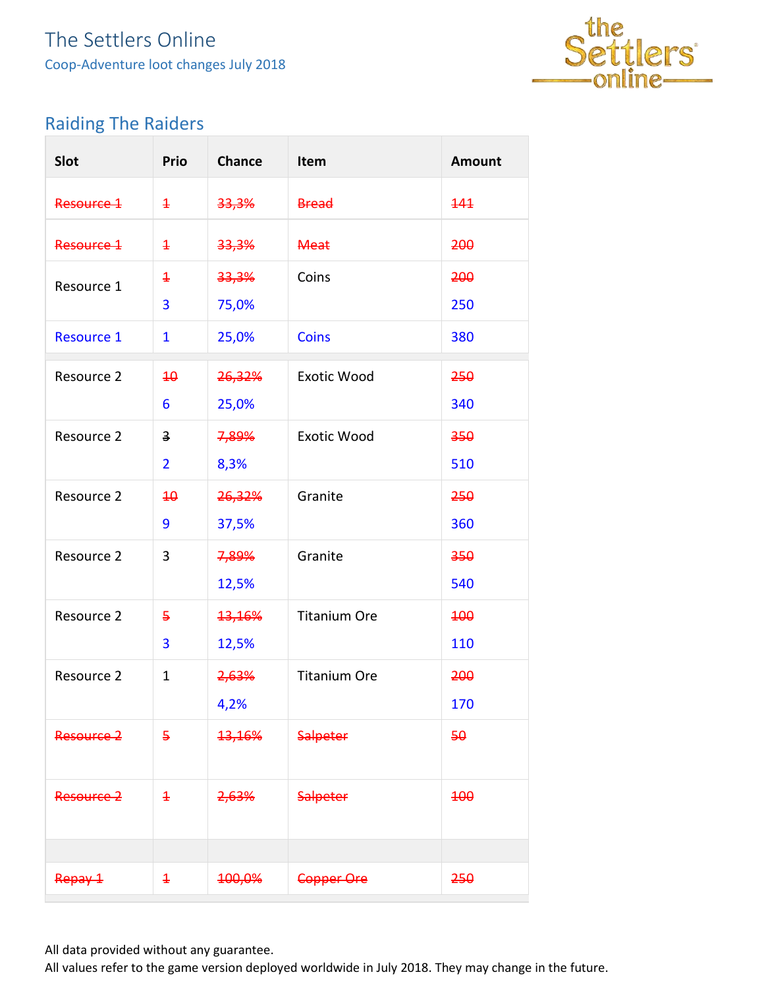

### <span id="page-8-0"></span>Raiding The Raiders

| Slot              | Prio                    | <b>Chance</b>    | Item                | <b>Amount</b> |
|-------------------|-------------------------|------------------|---------------------|---------------|
| Resource 1        | $\ddagger$              | 33,3%            | <b>Bread</b>        | 444           |
| Resource 1        | $\overline{1}$          | 33,3%            | <b>Meat</b>         | 200           |
| Resource 1        | $\ddagger$              | <del>33,3%</del> | Coins               | 200           |
|                   | 3                       | 75,0%            |                     | 250           |
| <b>Resource 1</b> | $\mathbf{1}$            | 25,0%            | <b>Coins</b>        | 380           |
| Resource 2        | 40                      | 26,32%           | <b>Exotic Wood</b>  | 250           |
|                   | 6                       | 25,0%            |                     | 340           |
| Resource 2        | $\overline{\mathbf{3}}$ | 7,89%            | <b>Exotic Wood</b>  | 350           |
|                   | $\overline{2}$          | 8,3%             |                     | 510           |
| Resource 2        | $\overline{40}$         | 26,32%           | Granite             | 250           |
|                   | 9                       | 37,5%            |                     | 360           |
| Resource 2        | 3                       | 7,89%            | Granite             | 350           |
|                   |                         | 12,5%            |                     | 540           |
| Resource 2        | 5                       | 13,16%           | <b>Titanium Ore</b> | <b>100</b>    |
|                   | 3                       | 12,5%            |                     | 110           |
| Resource 2        | $\mathbf 1$             | 2,63%            | <b>Titanium Ore</b> | 200           |
|                   |                         | 4,2%             |                     | 170           |
| Resource 2        | 5                       | 13,16%           | <b>Salpeter</b>     | 50            |
| Resource 2        | $\ddagger$              | <del>2,63%</del> | <b>Salpeter</b>     | <b>100</b>    |
|                   |                         |                  |                     |               |
| Repay 1           | $\overline{1}$          | 100,0%           | Copper Ore          | 250           |

All data provided without any guarantee.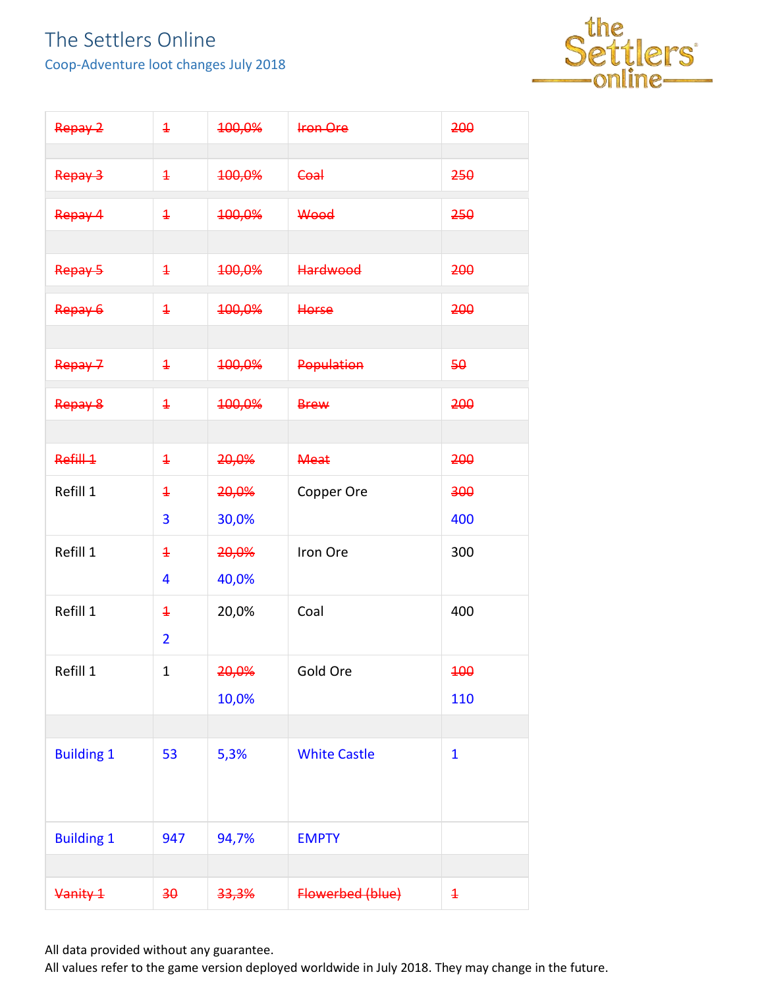Coop-Adventure loot changes July 2018



| Repay 2           | $\overline{1}$  | 100,0%           | <b>Iron Ore</b>     | 200            |
|-------------------|-----------------|------------------|---------------------|----------------|
| Repay 3           | $\ddagger$      | 100,0%           | Coal                | 250            |
| Repay 4           | $\ddagger$      | 100,0%           | Wood                | 250            |
|                   |                 |                  |                     |                |
| Repay 5           | $\ddagger$      | 100,0%           | <b>Hardwood</b>     | 200            |
| Repay 6           | $\ddagger$      | 100,0%           | Horse               | 200            |
|                   |                 |                  |                     |                |
| Repay 7           | $\ddagger$      | 100,0%           | <b>Population</b>   | 50             |
| Repay 8           | $\ddagger$      | 100,0%           | <b>Brew</b>         | 200            |
|                   |                 |                  |                     |                |
| Refill 1          | $\ddagger$      | 20,0%            | <b>Meat</b>         | 200            |
| Refill 1          | $\ddagger$      | 20,0%            | Copper Ore          | 300            |
|                   | 3               | 30,0%            |                     | 400            |
| Refill 1          | $\ddagger$      | 20,0%            | Iron Ore            | 300            |
|                   | 4               | 40,0%            |                     |                |
| Refill 1          | $\ddagger$      | 20,0%            | Coal                | 400            |
|                   | $\overline{2}$  |                  |                     |                |
| Refill 1          | $\mathbf 1$     | <del>20,0%</del> | Gold Ore            | 100            |
|                   |                 | 10,0%            |                     | 110            |
|                   |                 |                  |                     |                |
| <b>Building 1</b> | 53              | 5,3%             | <b>White Castle</b> | $\mathbf{1}$   |
| <b>Building 1</b> | 947             | 94,7%            | <b>EMPTY</b>        |                |
|                   |                 |                  |                     |                |
| Vanity 1          | 30 <sub>2</sub> | 33,3%            | Flowerbed (blue)    | $\overline{1}$ |

All data provided without any guarantee.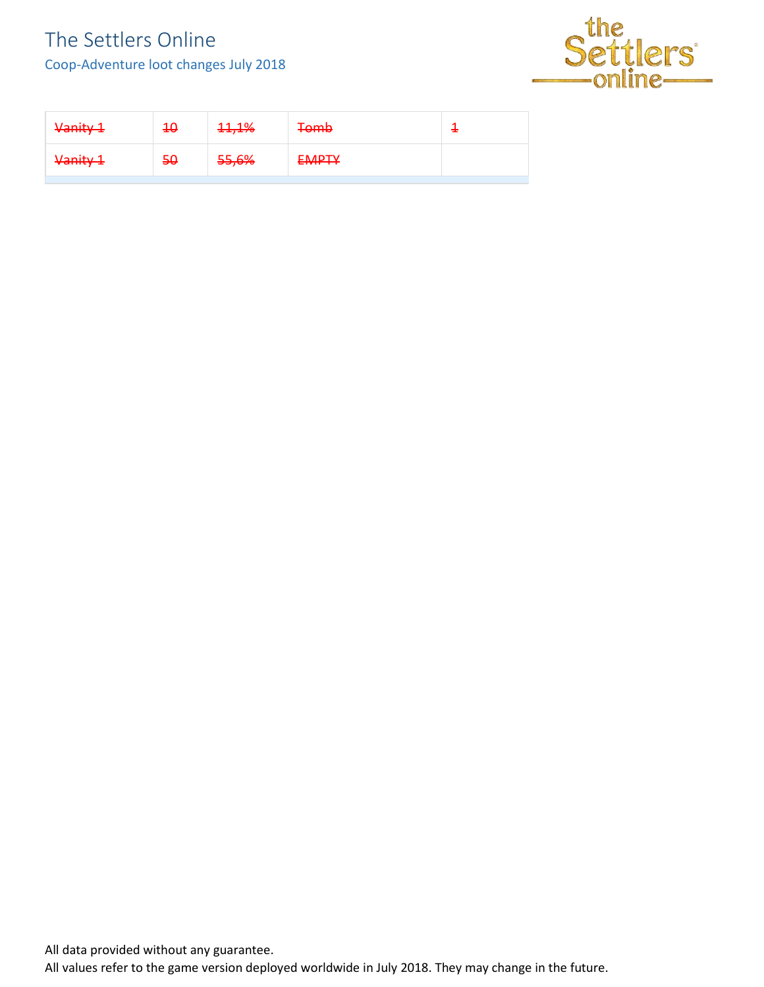Coop-Adventure loot changes July 2018



| Vanity 1 | <del>10</del> | 11,1% | <b>Tomb</b>  |  |
|----------|---------------|-------|--------------|--|
| Vanity 1 | 50            | 55,6% | <b>EMPTY</b> |  |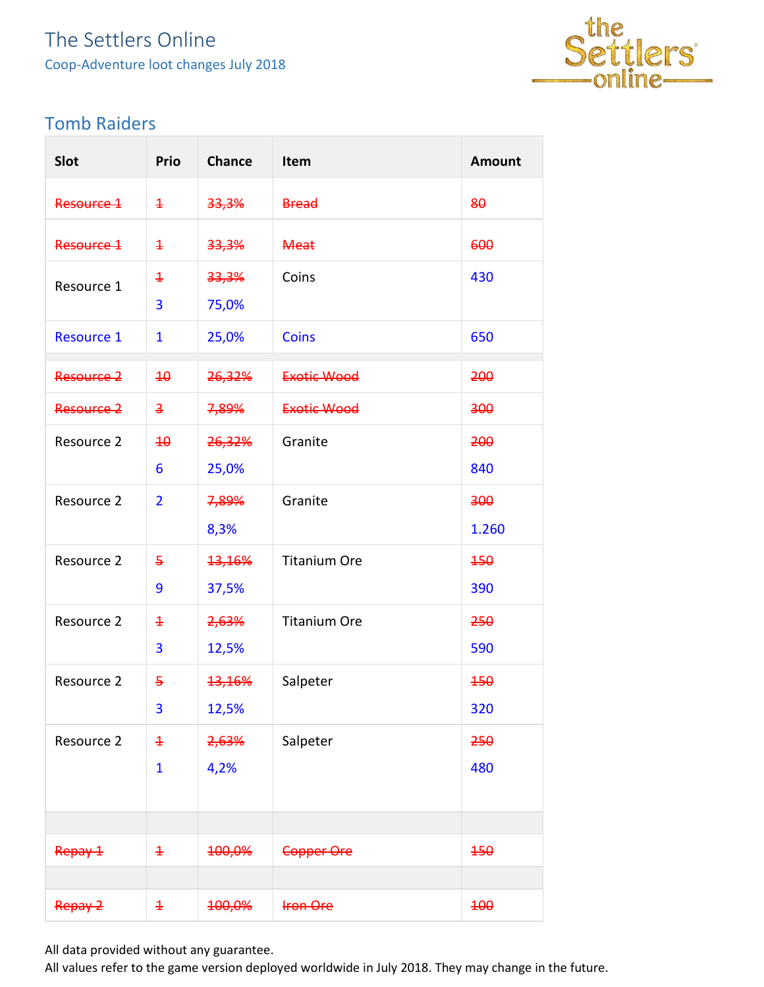

#### <span id="page-11-0"></span>Tomb Raiders

| Slot              | Prio                    | <b>Chance</b> | Item                | <b>Amount</b> |
|-------------------|-------------------------|---------------|---------------------|---------------|
| Resource 1        | $\ddagger$              | 33,3%         | <b>Bread</b>        | 80            |
| Resource 1        | $\ddagger$              | 33,3%         | <b>Meat</b>         | 600           |
| Resource 1        | $\ddagger$              | 33,3%         | Coins               | 430           |
|                   | 3                       | 75,0%         |                     |               |
| <b>Resource 1</b> | $\mathbf{1}$            | 25,0%         | <b>Coins</b>        | 650           |
| Resource 2        | 40                      | 26,32%        | <b>Exotic Wood</b>  | 200           |
| Resource 2        | $\overline{\mathbf{3}}$ | 7,89%         | Exotic Wood         | 300           |
| Resource 2        | $\overline{40}$         | 26,32%        | Granite             | 200           |
|                   | 6                       | 25,0%         |                     | 840           |
| Resource 2        | $\overline{2}$          | 7,89%         | Granite             | 300           |
|                   |                         | 8,3%          |                     | 1.260         |
| Resource 2        | $\overline{5}$          | 13,16%        | <b>Titanium Ore</b> | 450           |
|                   | 9                       | 37,5%         |                     | 390           |
| Resource 2        | $\overline{1}$          | 2,63%         | <b>Titanium Ore</b> | 250           |
|                   | 3                       | 12,5%         |                     | 590           |
| Resource 2        | 5                       | <b>13,16%</b> | Salpeter            | 450           |
|                   | 3                       | 12,5%         |                     | 320           |
| Resource 2        | $\overline{1}$          | 2,63%         | Salpeter            | 250           |
|                   | $\mathbf{1}$            | 4,2%          |                     | 480           |
|                   |                         |               |                     |               |
|                   |                         |               |                     |               |
| Repay 1           | $\ddagger$              | 100,0%        | Copper Ore          | 150           |
|                   |                         |               |                     |               |
| Repay 2           | $\ddagger$              | 100,0%        | <b>Iron Ore</b>     | 100           |

All data provided without any guarantee.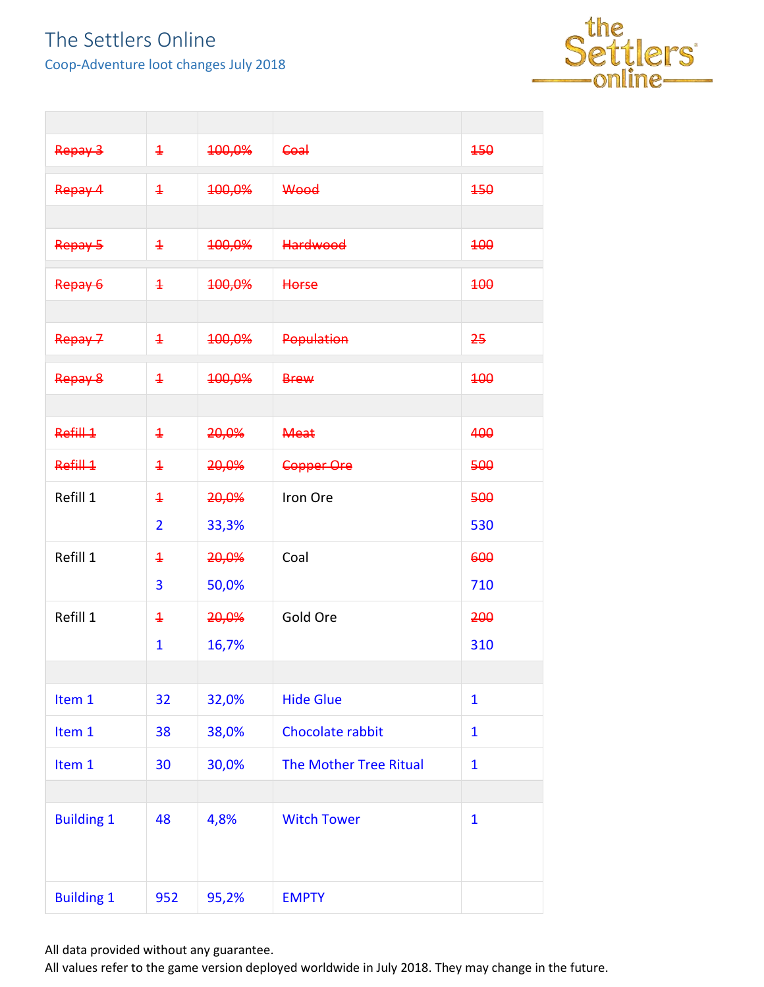Coop-Adventure loot changes July 2018



| Repay 3           | $\ddagger$     | <del>100,0%</del> | <b>Coal</b>                   | 450          |
|-------------------|----------------|-------------------|-------------------------------|--------------|
| Repay 4           | $\ddagger$     | 100,0%            | Wood                          | 450          |
|                   |                |                   |                               |              |
| Repay 5           | $\ddagger$     | 100,0%            | <b>Hardwood</b>               | <b>100</b>   |
| Repay 6           | $\overline{1}$ | 100,0%            | Horse                         | 400          |
|                   |                |                   |                               |              |
| Repay 7           | $\ddagger$     | 100,0%            | Population                    | 25           |
| Repay 8           | $\ddagger$     | 100,0%            | <b>Brew</b>                   | 400          |
|                   |                |                   |                               |              |
| Refill 1          | $\ddagger$     | 20,0%             | <b>Meat</b>                   | 400          |
| Refill 1          | $\ddagger$     | 20,0%             | <b>Copper Ore</b>             | 500          |
| Refill 1          | $\overline{1}$ | 20,0%             | Iron Ore                      | 500          |
|                   | $\overline{2}$ | 33,3%             |                               | 530          |
| Refill 1          | $\ddagger$     | 20,0%             | Coal                          | 600          |
|                   | 3              | 50,0%             |                               | 710          |
| Refill 1          | $\ddagger$     | 20,0%             | Gold Ore                      | 200          |
|                   | $\mathbf{1}$   | 16,7%             |                               | 310          |
|                   |                |                   |                               |              |
| Item 1            | 32             | 32,0%             | <b>Hide Glue</b>              | $\mathbf{1}$ |
| Item 1            | 38             | 38,0%             | Chocolate rabbit              | $\mathbf{1}$ |
| Item 1            | 30             | 30,0%             | <b>The Mother Tree Ritual</b> | $\mathbf{1}$ |
|                   |                |                   |                               |              |
| <b>Building 1</b> | 48             | 4,8%              | <b>Witch Tower</b>            | $\mathbf{1}$ |
| <b>Building 1</b> | 952            | 95,2%             | <b>EMPTY</b>                  |              |

All data provided without any guarantee.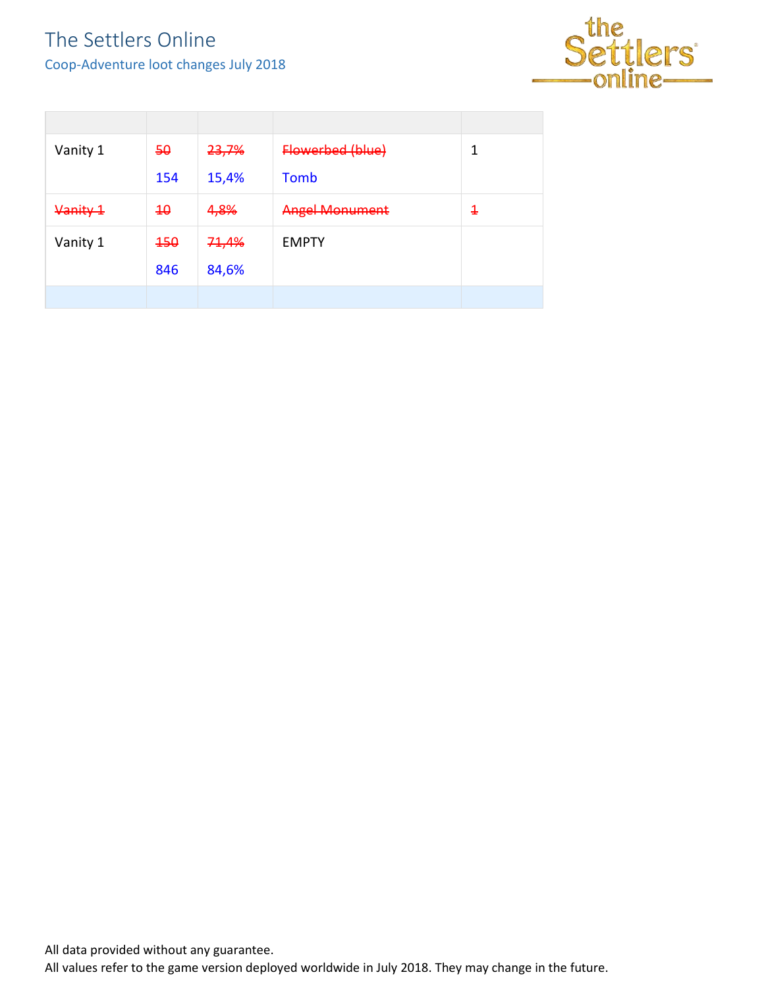Coop-Adventure loot changes July 2018



| Vanity 1 | 50  | 23,7% | Flowerbed (blue)      | 1 |
|----------|-----|-------|-----------------------|---|
|          | 154 | 15,4% | <b>Tomb</b>           |   |
| Vanity 1 | 40  | 4,8%  | <b>Angel Monument</b> | 4 |
| Vanity 1 | 150 | 71,4% | <b>EMPTY</b>          |   |
|          | 846 | 84,6% |                       |   |
|          |     |       |                       |   |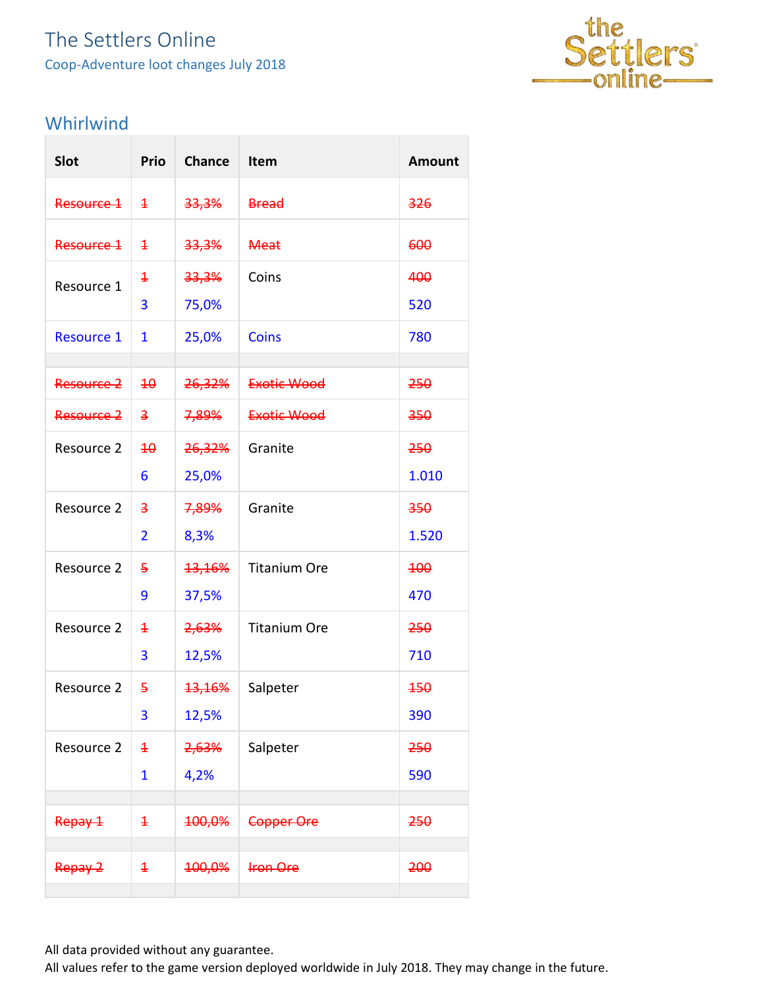### The Settlers Online Coop-Adventure loot changes July 2018



#### <span id="page-14-0"></span>Whirlwind

| Slot              | Prio                    | <b>Chance</b>     | Item                | <b>Amount</b> |
|-------------------|-------------------------|-------------------|---------------------|---------------|
| Resource 1        | $\overline{1}$          | 33,3%             | <b>Bread</b>        | 326           |
| Resource 1        | $\overline{1}$          | 33,3%             | <b>Meat</b>         | 600           |
| Resource 1        | $\overline{1}$          | 33,3%             | Coins               | 400           |
|                   | 3                       | 75,0%             |                     | 520           |
| <b>Resource 1</b> | 1                       | 25,0%             | <b>Coins</b>        | 780           |
| Resource 2        | $\overline{4\theta}$    | <del>26,32%</del> | Exotic Wood         | 250           |
| Resource 2        | $\overline{\mathbf{z}}$ | <del>7,89%</del>  | Exotic Wood         | 350           |
| Resource 2        | 40                      | 26,32%            | Granite             | 250           |
|                   | 6                       | 25,0%             |                     | 1.010         |
| Resource 2        | $\overline{a}$          | 7,89%             | Granite             | 350           |
|                   | $\overline{2}$          | 8,3%              |                     | 1.520         |
| Resource 2        | 5                       | <b>13,16%</b>     | <b>Titanium Ore</b> | 400           |
|                   | 9                       | 37,5%             |                     | 470           |
| Resource 2        | $\overline{\textbf{1}}$ | 2,63%             | <b>Titanium Ore</b> | 250           |
|                   | 3                       | 12,5%             |                     | 710           |
| Resource 2        | 5                       | <del>13,16%</del> | Salpeter            | 450           |
|                   | 3                       | 12,5%             |                     | 390           |
| Resource 2        | $\overline{1}$          | <del>2,63%</del>  | Salpeter            | 250           |
|                   | $\mathbf{1}$            | 4,2%              |                     | 590           |
| Repay 1           | $\ddagger$              | 100,0%            | Copper Ore          | 250           |
| Repay 2           | $\ddagger$              | 100,0%            | <b>Iron Ore</b>     | 200           |

All data provided without any guarantee.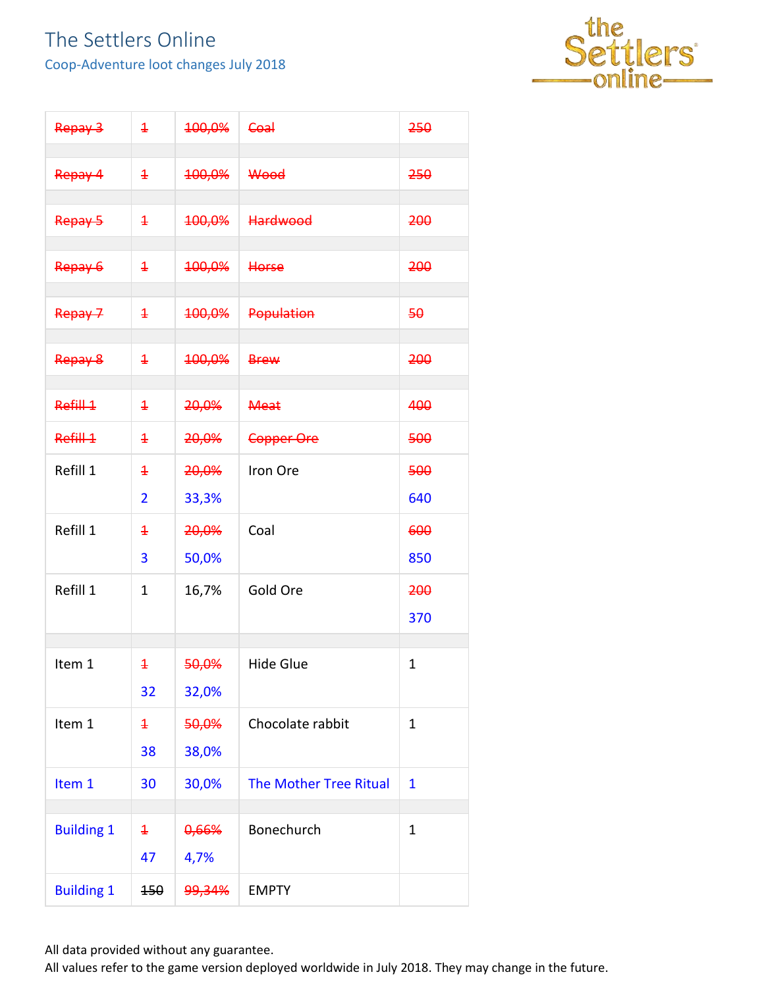Coop-Adventure loot changes July 2018



| Repay 3           | $\ddagger$     | 100,0% | Coal                          | 250          |
|-------------------|----------------|--------|-------------------------------|--------------|
| Repay 4           | $\ddagger$     | 100,0% | Wood                          | 250          |
| Repay 5           | $\ddagger$     | 100,0% | <b>Hardwood</b>               | 200          |
| Repay 6           | $\ddagger$     | 100,0% | <b>Horse</b>                  | 200          |
| Repay 7           | $\ddagger$     | 100,0% | <b>Population</b>             | 50           |
| Repay 8           | $\ddagger$     | 100,0% | <b>Brew</b>                   | 200          |
| Refill 1          | $\ddagger$     | 20,0%  | <b>Meat</b>                   | 400          |
| Refill 1          | $\ddagger$     | 20,0%  | Copper Ore                    | 500          |
| Refill 1          | $\overline{1}$ | 20,0%  | Iron Ore                      | 500          |
|                   | $\overline{2}$ | 33,3%  |                               | 640          |
| Refill 1          | $\overline{1}$ | 20,0%  | Coal                          | 600          |
|                   | 3              | 50,0%  |                               | 850          |
| Refill 1          | $\mathbf{1}$   | 16,7%  | Gold Ore                      | 200          |
|                   |                |        |                               | 370          |
|                   |                |        |                               |              |
| Item 1            | $\ddagger$     | 50,0%  | <b>Hide Glue</b>              | $\mathbf{1}$ |
|                   | 32             | 32,0%  |                               |              |
| Item 1            | $\ddagger$     | 50,0%  | Chocolate rabbit              | $\mathbf{1}$ |
|                   | 38             | 38,0%  |                               |              |
| Item 1            | 30             | 30,0%  | <b>The Mother Tree Ritual</b> | $\mathbf{1}$ |
| <b>Building 1</b> | $\ddagger$     | 0,66%  | Bonechurch                    | $\mathbf 1$  |
|                   | 47             | 4,7%   |                               |              |
| <b>Building 1</b> | 150            | 99,34% | <b>EMPTY</b>                  |              |

All data provided without any guarantee.